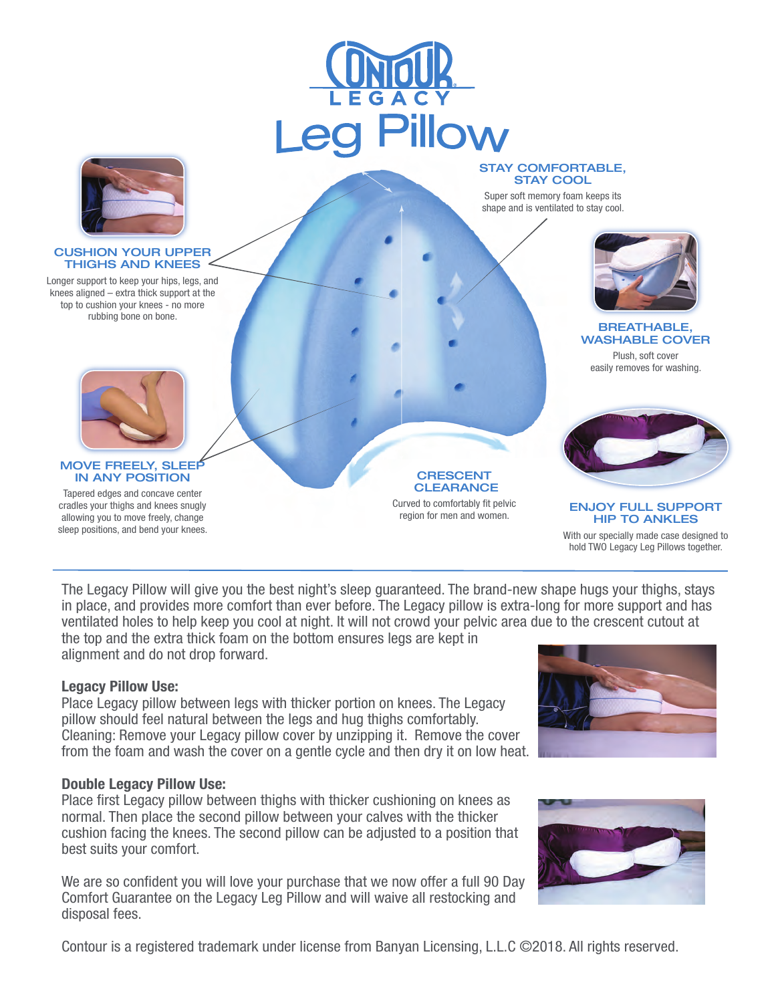



#### CUSHION YOUR UPPER THIGHS AND KNEES

Longer support to keep your hips, legs, and knees aligned – extra thick support at the top to cushion your knees - no more rubbing bone on bone.



Super soft memory foam keeps its shape and is ventilated to stay cool.



### BREATHABLE, WASHABLE COVER

Plush, soft cover easily removes for washing.



### MOVE FREELY, SLEEP IN ANY POSITION

Tapered edges and concave center cradles your thighs and knees snugly allowing you to move freely, change sleep positions, and bend your knees.

**CRESCENT CLEARANCE** Curved to comfortably fit pelvic region for men and women.



#### ENJOY FULL SUPPORT HIP TO ANKLES

With our specially made case designed to hold TWO Legacy Leg Pillows together.

The Legacy Pillow will give you the best night's sleep guaranteed. The brand-new shape hugs your thighs, stays in place, and provides more comfort than ever before. The Legacy pillow is extra-long for more support and has ventilated holes to help keep you cool at night. It will not crowd your pelvic area due to the crescent cutout at the top and the extra thick foam on the bottom ensures legs are kept in

alignment and do not drop forward.

# Legacy Pillow Use:

Place Legacy pillow between legs with thicker portion on knees. The Legacy pillow should feel natural between the legs and hug thighs comfortably. Cleaning: Remove your Legacy pillow cover by unzipping it. Remove the cover from the foam and wash the cover on a gentle cycle and then dry it on low heat.

# Double Legacy Pillow Use:

Place first Legacy pillow between thighs with thicker cushioning on knees as normal. Then place the second pillow between your calves with the thicker cushion facing the knees. The second pillow can be adjusted to a position that best suits your comfort.

We are so confident you will love your purchase that we now offer a full 90 Day Comfort Guarantee on the Legacy Leg Pillow and will waive all restocking and disposal fees.





Contour is a registered trademark under license from Banyan Licensing, L.L.C ©2018. All rights reserved.